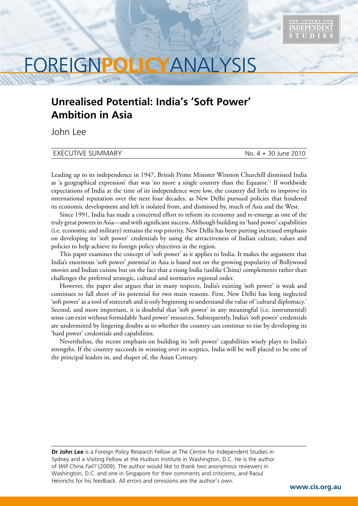

# FOREIGN**POLICY**ANALYSIS

# **Unrealised Potential: India's 'Soft Power' Ambition in Asia**

John Lee

#### EXECUTIVE SUMMARY No. 4 • 30 June 2010

Leading up to its independence in 1947, British Prime Minister Winston Churchill dismissed India as 'a geographical expression' that was 'no more a single country than the Equator.'1 If worldwide expectations of India at the time of its independence were low, the country did little to improve its international reputation over the next four decades, as New Delhi pursued policies that hindered its economic development and left it isolated from, and dismissed by, much of Asia and the West.

Since 1991, India has made a concerted effort to reform its economy and re-emerge as one of the truly great powers in Asia—and with significant success. Although building its 'hard power' capabilities (i.e. economic and military) remains the top priority, New Delhi has been putting increased emphasis on developing its 'soft power' credentials by using the attractiveness of Indian culture, values and policies to help achieve its foreign policy objectives in the region.

This paper examines the concept of 'soft power' as it applies to India. It makes the argument that India's enormous 'soft power' *potential* in Asia is based not on the growing popularity of Bollywood movies and Indian cuisine but on the fact that a rising India (unlike China) complements rather than challenges the preferred strategic, cultural and normative regional order.

However, the paper also argues that in many respects, India's existing 'soft power' is weak and continues to fall short of its potential for two main reasons. First, New Delhi has long neglected 'soft power' as a tool of statecraft and is only beginning to understand the value of 'cultural diplomacy.' Second, and more important, it is doubtful that 'soft power' in any meaningful (i.e. instrumental) sense can exist without formidable 'hard power' resources. Subsequently, India's 'soft power' credentials are undermined by lingering doubts as to whether the country can continue to rise by developing its 'hard power' credentials and capabilities.

Nevertheless, the recent emphasis on building its 'soft power' capabilities wisely plays to India's strengths. If the country succeeds in winning over its sceptics, India will be well placed to be one of the principal leaders in, and shaper of, the Asian Century.

**Dr John Lee** is a Foreign Policy Research Fellow at The Centre for Independent Studies in Sydney and a Visiting Fellow at the Hudson Institute in Washington, D.C. He is the author of *Will China Fail?* (2009)*.* The author would like to thank two anonymous reviewers in Washington, D.C. and one in Singapore for their comments and criticisms, and Raoul Heinrichs for his feedback. All errors and omissions are the author's own.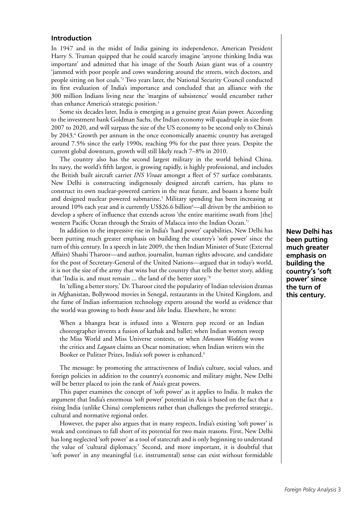# **Introduction**

In 1947 and in the midst of India gaining its independence, American President Harry S. Truman quipped that he could scarcely imagine 'anyone thinking India was important' and admitted that his image of the South Asian giant was of a country 'jammed with poor people and cows wandering around the streets, witch doctors, and people sitting on hot coals.'2 Two years later, the National Security Council conducted its first evaluation of India's importance and concluded that an alliance with the 300 million Indians living near the 'margins of subsistence' would encumber rather than enhance America's strategic position.<sup>3</sup>

Some six decades later, India is emerging as a genuine great Asian power. According to the investment bank Goldman Sachs, the Indian economy will quadruple in size from 2007 to 2020, and will surpass the size of the US economy to be second only to China's by 2043.<sup>4</sup> Growth per annum in the once economically anaemic country has averaged around 7.5% since the early 1990s, reaching 9% for the past three years. Despite the current global downturn, growth will still likely reach 7–8% in 2010.

The country also has the second largest military in the world behind China. Its navy, the world's fifth largest, is growing rapidly, is highly professional, and includes the British built aircraft carrier *INS Viraat* amongst a fleet of 57 surface combatants. New Delhi is constructing indigenously designed aircraft carriers, has plans to construct its own nuclear-powered carriers in the near future, and boasts a home built and designed nuclear powered submarine.5 Military spending has been increasing at around 10% each year and is currently US\$26.6 billion<sup>6</sup>—all driven by the ambition to develop a sphere of influence that extends across 'the entire maritime swath from [the] western Pacific Ocean through the Straits of Malacca into the Indian Ocean.'7

In addition to the impressive rise in India's 'hard power' capabilities, New Delhi has been putting much greater emphasis on building the country's 'soft power' since the turn of this century. In a speech in late 2009, the then Indian Minister of State (External Affairs) Shashi Tharoor—and author, journalist, human rights advocate, and candidate for the post of Secretary-General of the United Nations—argued that in today's world, it is not the size of the army that wins but the country that tells the better story, adding that 'India is, and must remain ... the land of the better story.'8

In 'telling a better story,' Dr. Tharoor cited the popularity of Indian television dramas in Afghanistan, Bollywood movies in Senegal, restaurants in the United Kingdom, and the fame of Indian information technology experts around the world as evidence that the world was growing to both *know* and *like* India. Elsewhere, he wrote:

When a bhangra beat is infused into a Western pop record or an Indian choreographer invents a fusion of kathak and ballet; when Indian women sweep the Miss World and Miss Universe contests, or when *Monsoon Wedding* wows the critics and *Lagaan* claims an Oscar nomination; when Indian writers win the Booker or Pulitzer Prizes, India's soft power is enhanced.<sup>9</sup>

The message: by promoting the attractiveness of India's culture, social values, and foreign policies in addition to the country's economic and military might, New Delhi will be better placed to join the rank of Asia's great powers.

This paper examines the concept of 'soft power' as it applies to India. It makes the argument that India's enormous 'soft power' potential in Asia is based on the fact that a rising India (unlike China) complements rather than challenges the preferred strategic, cultural and normative regional order.

However, the paper also argues that in many respects, India's existing 'soft power' is weak and continues to fall short of its potential for two main reasons. First, New Delhi has long neglected 'soft power' as a tool of statecraft and is only beginning to understand the value of 'cultural diplomacy.' Second, and more important, it is doubtful that 'soft power' in any meaningful (i.e. instrumental) sense can exist without formidable **New Delhi has been putting much greater emphasis on building the country's 'soft power' since the turn of this century.**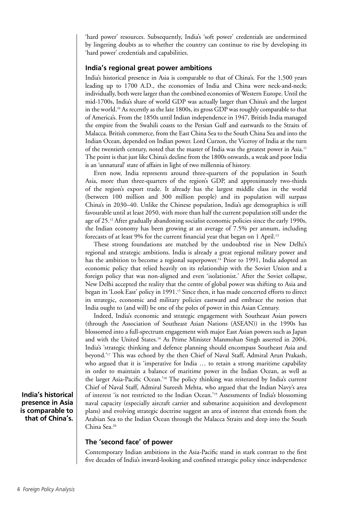'hard power' resources. Subsequently, India's 'soft power' credentials are undermined by lingering doubts as to whether the country can continue to rise by developing its 'hard power' credentials and capabilities.

# **India's regional great power ambitions**

India's historical presence in Asia is comparable to that of China's. For the 1,500 years leading up to 1700 A.D., the economies of India and China were neck-and-neck; individually, both were larger than the combined economies of Western Europe. Until the mid-1700s, India's share of world GDP was actually larger than China's and the largest in the world.10 As recently as the late 1800s, its gross GDP was roughly comparable to that of America's. From the 1850s until Indian independence in 1947, British India managed the empire from the Swahili coasts to the Persian Gulf and eastwards to the Straits of Malacca. British commerce, from the East China Sea to the South China Sea and into the Indian Ocean, depended on Indian power. Lord Curzon, the Viceroy of India at the turn of the twentieth century, noted that the master of India was the greatest power in Asia.11 The point is that just like China's decline from the 1800s onwards, a weak and poor India is an 'unnatural' state of affairs in light of two millennia of history.

Even now, India represents around three-quarters of the population in South Asia, more than three-quarters of the region's GDP, and approximately two-thirds of the region's export trade. It already has the largest middle class in the world (between 100 million and 300 million people) and its population will surpass China's in 2030–40. Unlike the Chinese population, India's age demographics is still favourable until at least 2050, with more than half the current population still under the age of 25.12 After gradually abandoning socialist economic policies since the early 1990s, the Indian economy has been growing at an average of 7.5% per annum, including forecasts of at least 9% for the current financial year that began on 1 April.<sup>13</sup>

These strong foundations are matched by the undoubted rise in New Delhi's regional and strategic ambitions. India is already a great regional military power and has the ambition to become a regional superpower.<sup>14</sup> Prior to 1991, India adopted an economic policy that relied heavily on its relationship with the Soviet Union and a foreign policy that was non-aligned and even 'isolationist.' After the Soviet collapse, New Delhi accepted the reality that the centre of global power was shifting to Asia and began its 'Look East' policy in 1991.<sup>15</sup> Since then, it has made concerted efforts to direct its strategic, economic and military policies eastward and embrace the notion that India ought to (and will) be one of the poles of power in this Asian Century.

Indeed, India's economic and strategic engagement with Southeast Asian powers (through the Association of Southeast Asian Nations (ASEAN)) in the 1990s has blossomed into a full-spectrum engagement with major East Asian powers such as Japan and with the United States.16 As Prime Minister Manmohan Singh asserted in 2004, India's 'strategic thinking and defence planning should encompass Southeast Asia and beyond.'17 This was echoed by the then Chief of Naval Staff, Admiral Arun Prakash, who argued that it is 'imperative for India ... to retain a strong maritime capability in order to maintain a balance of maritime power in the Indian Ocean, as well as the larger Asia-Pacific Ocean.'18 The policy thinking was reiterated by India's current Chief of Naval Staff, Admiral Sureesh Mehta, who argued that the Indian Navy's area of interest 'is not restricted to the Indian Ocean.'19 Assessments of India's blossoming naval capacity (especially aircraft carrier and submarine acquisition and development plans) and evolving strategic doctrine suggest an area of interest that extends from the Arabian Sea to the Indian Ocean through the Malacca Straits and deep into the South China Sea.20

# **The 'second face' of power**

Contemporary Indian ambitions in the Asia-Pacific stand in stark contrast to the first five decades of India's inward-looking and confined strategic policy since independence

**India's historical presence in Asia is comparable to that of China's.**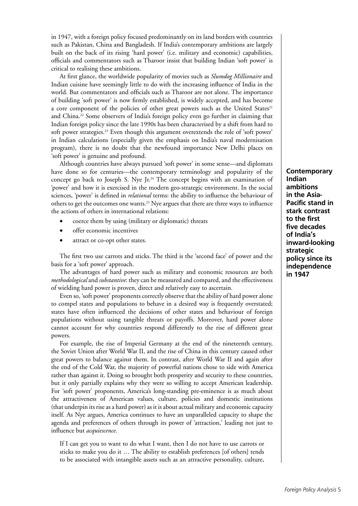in 1947, with a foreign policy focused predominantly on its land borders with countries such as Pakistan, China and Bangladesh. If India's contemporary ambitions are largely built on the back of its rising 'hard power' (i.e. military and economic) capabilities, officials and commentators such as Tharoor insist that building Indian 'soft power' is critical to realising these ambitions.

At first glance, the worldwide popularity of movies such as *Slumdog Millionaire* and Indian cuisine have seemingly little to do with the increasing influence of India in the world. But commentators and officials such as Tharoor are not alone. The importance of building 'soft power' is now firmly established, is widely accepted, and has become a core component of the policies of other great powers such as the United States<sup>21</sup> and China.22 Some observers of India's foreign policy even go further in claiming that Indian foreign policy since the late 1990s has been characterised by a shift from hard to soft power strategies.23 Even though this argument overextends the role of 'soft power' in Indian calculations (especially given the emphasis on India's naval modernisation program), there is no doubt that the newfound importance New Delhi places on 'soft power' is genuine and profound.

Although countries have always pursued 'soft power' in some sense—and diplomats have done so for centuries—the contemporary terminology and popularity of the concept go back to Joseph S. Nye Jr.<sup>24</sup> The concept begins with an examination of 'power' and how it is exercised in the modern geo-strategic environment. In the social sciences, 'power' is defined in *relational* terms: the ability to influence the behaviour of others to get the outcomes one wants.<sup>25</sup> Nye argues that there are three ways to influence the actions of others in international relations:

- coerce them by using (military or diplomatic) threats
- offer economic incentives
- attract or co-opt other states.

The first two use carrots and sticks. The third is the 'second face' of power and the basis for a 'soft power' approach.

The advantages of hard power such as military and economic resources are both *methodological* and *substantive*: they can be measured and compared, and the effectiveness of wielding hard power is proven, direct and relatively easy to ascertain.

Even so, 'soft power' proponents correctly observe that the ability of hard power alone to compel states and populations to behave in a desired way is frequently overstated; states have often influenced the decisions of other states and behaviour of foreign populations without using tangible threats or payoffs. Moreover, hard power alone cannot account for why countries respond differently to the rise of different great powers.

For example, the rise of Imperial Germany at the end of the nineteenth century, the Soviet Union after World War II, and the rise of China in this century caused other great powers to balance against them. In contrast, after World War II and again after the end of the Cold War, the majority of powerful nations chose to side with America rather than against it. Doing so brought both prosperity and security to these countries, but it only partially explains why they were so willing to accept American leadership. For 'soft power' proponents, America's long-standing pre-eminence is as much about the attractiveness of American values, culture, policies and domestic institutions (that underpin its rise as a hard power) as it is about actual military and economic capacity itself. As Nye argues, America continues to have an unparalleled capacity to shape the agenda and preferences of others through its power of 'attraction,' leading not just to influence but *acquiescence*.

If I can get you to want to do what I want, then I do not have to use carrots or sticks to make you do it … The ability to establish preferences [of others] tends to be associated with intangible assets such as an attractive personality, culture,

**Contemporary Indian ambitions in the Asia-Pacific stand in stark contrast to the first five decades of India's inward-looking strategic policy since its independence in 1947**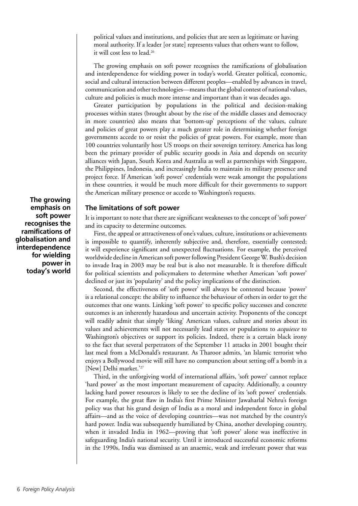political values and institutions, and policies that are seen as legitimate or having moral authority. If a leader [or state] represents values that others want to follow, it will cost less to lead.<sup>26</sup>

The growing emphasis on soft power recognises the ramifications of globalisation and interdependence for wielding power in today's world. Greater political, economic, social and cultural interaction between different peoples—enabled by advances in travel, communication and other technologies—means that the global contest of national values, culture and policies is much more intense and important than it was decades ago.

Greater participation by populations in the political and decision-making processes within states (brought about by the rise of the middle classes and democracy in more countries) also means that 'bottom-up' perceptions of the values, culture and policies of great powers play a much greater role in determining whether foreign governments accede to or resist the policies of great powers. For example, more than 100 countries voluntarily host US troops on their sovereign territory. America has long been the primary provider of public security goods in Asia and depends on security alliances with Japan, South Korea and Australia as well as partnerships with Singapore, the Philippines, Indonesia, and increasingly India to maintain its military presence and project force. If American 'soft power' credentials were weak amongst the populations in these countries, it would be much more difficult for their governments to support the American military presence or accede to Washington's requests.

#### **The limitations of soft power**

It is important to note that there are significant weaknesses to the concept of 'soft power' and its capacity to determine outcomes.

First, the appeal or attractiveness of one's values, culture, institutions or achievements is impossible to quantify, inherently subjective and, therefore, essentially contested; it will experience significant and unexpected fluctuations. For example, the perceived worldwide decline in American soft power following President George W. Bush's decision to invade Iraq in 2003 may be real but is also not measurable. It is therefore difficult for political scientists and policymakers to determine whether American 'soft power' declined or just its 'popularity' and the policy implications of the distinction.

Second, the effectiveness of 'soft power' will always be contested because 'power' is a relational concept: the ability to influence the behaviour of others in order to get the outcomes that one wants. Linking 'soft power' to specific policy successes and concrete outcomes is an inherently hazardous and uncertain activity. Proponents of the concept will readily admit that simply 'liking' American values, culture and stories about its values and achievements will not necessarily lead states or populations to *acquiesce* to Washington's objectives or support its policies. Indeed, there is a certain black irony to the fact that several perpetrators of the September 11 attacks in 2001 bought their last meal from a McDonald's restaurant. As Tharoor admits, 'an Islamic terrorist who enjoys a Bollywood movie will still have no compunction about setting off a bomb in a [New] Delhi market.'<sup>27</sup>

Third, in the unforgiving world of international affairs, 'soft power' cannot replace 'hard power' as the most important measurement of capacity. Additionally, a country lacking hard power resources is likely to see the decline of its 'soft power' credentials. For example, the great flaw in India's first Prime Minister Jawaharlal Nehru's foreign policy was that his grand design of India as a moral and independent force in global affairs—and as the voice of developing countries—was not matched by the country's hard power. India was subsequently humiliated by China, another developing country, when it invaded India in 1962—proving that 'soft power' alone was ineffective in safeguarding India's national security. Until it introduced successful economic reforms in the 1990s, India was dismissed as an anaemic, weak and irrelevant power that was

**The growing emphasis on soft power recognises the ramifications of globalisation and interdependence for wielding power in today's world**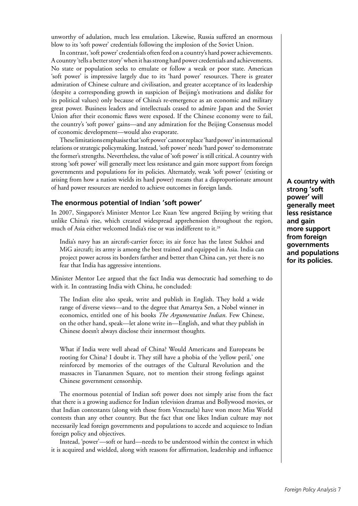unworthy of adulation, much less emulation. Likewise, Russia suffered an enormous blow to its 'soft power' credentials following the implosion of the Soviet Union.

In contrast, 'soft power' credentials often feed on a country's hard power achievements. A country 'tells a better story' when it has strong hard power credentials and achievements. No state or population seeks to emulate or follow a weak or poor state. American 'soft power' is impressive largely due to its 'hard power' resources. There is greater admiration of Chinese culture and civilisation, and greater acceptance of its leadership (despite a corresponding growth in suspicion of Beijing's motivations and dislike for its political values) only because of China's re-emergence as an economic and military great power. Business leaders and intellectuals ceased to admire Japan and the Soviet Union after their economic flaws were exposed. If the Chinese economy were to fail, the country's 'soft power' gains—and any admiration for the Beijing Consensus model of economic development—would also evaporate.

These limitations emphasise that 'soft power' cannot replace 'hard power' in international relations or strategic policymaking. Instead, 'soft power' needs 'hard power' to demonstrate the former's strengths. Nevertheless, the value of 'soft power' is still critical. A country with strong 'soft power' will generally meet less resistance and gain more support from foreign governments and populations for its policies. Alternately, weak 'soft power' (existing or arising from how a nation wields its hard power) means that a disproportionate amount of hard power resources are needed to achieve outcomes in foreign lands.

#### **The enormous potential of Indian 'soft power'**

In 2007, Singapore's Minister Mentor Lee Kuan Yew angered Beijing by writing that unlike China's rise, which created widespread apprehension throughout the region, much of Asia either welcomed India's rise or was indifferent to it.<sup>28</sup>

India's navy has an aircraft-carrier force; its air force has the latest Sukhoi and MiG aircraft; its army is among the best trained and equipped in Asia. India can project power across its borders farther and better than China can, yet there is no fear that India has aggressive intentions.

Minister Mentor Lee argued that the fact India was democratic had something to do with it. In contrasting India with China, he concluded:

The Indian elite also speak, write and publish in English. They hold a wide range of diverse views—and to the degree that Amartya Sen, a Nobel winner in economics, entitled one of his books *The Argumentative Indian*. Few Chinese, on the other hand, speak—let alone write in—English, and what they publish in Chinese doesn't always disclose their innermost thoughts.

What if India were well ahead of China? Would Americans and Europeans be rooting for China? I doubt it. They still have a phobia of the 'yellow peril,' one reinforced by memories of the outrages of the Cultural Revolution and the massacres in Tiananmen Square, not to mention their strong feelings against Chinese government censorship.

The enormous potential of Indian soft power does not simply arise from the fact that there is a growing audience for Indian television dramas and Bollywood movies, or that Indian contestants (along with those from Venezuela) have won more Miss World contests than any other country. But the fact that one likes Indian culture may not necessarily lead foreign governments and populations to accede and acquiesce to Indian foreign policy and objectives.

Instead, 'power'—soft or hard—needs to be understood within the context in which it is acquired and wielded, along with reasons for affirmation, leadership and influence

**A country with strong 'soft power' will generally meet less resistance and gain more support from foreign governments and populations for its policies.**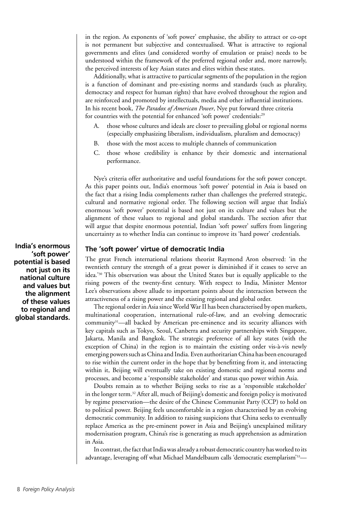in the region. As exponents of 'soft power' emphasise, the ability to attract or co-opt is not permanent but subjective and contextualised. What is attractive to regional governments and elites (and considered worthy of emulation or praise) needs to be understood within the framework of the preferred regional order and, more narrowly, the perceived interests of key Asian states and elites within these states.

Additionally, what is attractive to particular segments of the population in the region is a function of dominant and pre-existing norms and standards (such as plurality, democracy and respect for human rights) that have evolved throughout the region and are reinforced and promoted by intellectuals, media and other influential institutions. In his recent book, *The Paradox of American Power*, Nye put forward three criteria for countries with the potential for enhanced 'soft power' credentials:<sup>29</sup>

- A. those whose cultures and ideals are closer to prevailing global or regional norms (especially emphasizing liberalism, individualism, pluralism and democracy)
- B. those with the most access to multiple channels of communication
- C. those whose credibility is enhance by their domestic and international performance.

Nye's criteria offer authoritative and useful foundations for the soft power concept. As this paper points out, India's enormous 'soft power' potential in Asia is based on the fact that a rising India complements rather than challenges the preferred strategic, cultural and normative regional order. The following section will argue that India's enormous 'soft power' potential is based not just on its culture and values but the alignment of these values to regional and global standards. The section after that will argue that despite enormous potential, Indian 'soft power' suffers from lingering uncertainty as to whether India can continue to improve its 'hard power' credentials.

#### **The 'soft power' virtue of democratic India**

The great French international relations theorist Raymond Aron observed: 'in the twentieth century the strength of a great power is diminished if it ceases to serve an idea.'30 This observation was about the United States but is equally applicable to the rising powers of the twenty-first century. With respect to India, Minister Mentor Lee's observations above allude to important points about the interaction between the attractiveness of a rising power and the existing regional and global order.

The regional order in Asia since World War II has been characterised by open markets, multinational cooperation, international rule-of-law, and an evolving democratic community31—all backed by American pre-eminence and its security alliances with key capitals such as Tokyo, Seoul, Canberra and security partnerships with Singapore, Jakarta, Manila and Bangkok. The strategic preference of all key states (with the exception of China) in the region is to maintain the existing order vis-à-vis newly emerging powers such as China and India. Even authoritarian China has been encouraged to rise within the current order in the hope that by benefitting from it, and interacting within it, Beijing will eventually take on existing domestic and regional norms and processes, and become a 'responsible stakeholder' and status quo power within Asia.

Doubts remain as to whether Beijing seeks to rise as a 'responsible stakeholder' in the longer term.32 After all, much of Beijing's domestic and foreign policy is motivated by regime preservation—the desire of the Chinese Communist Party (CCP) to hold on to political power. Beijing feels uncomfortable in a region characterised by an evolving democratic community. In addition to raising suspicions that China seeks to eventually replace America as the pre-eminent power in Asia and Beijing's unexplained military modernisation program, China's rise is generating as much apprehension as admiration in Asia.

In contrast, the fact that India was already a robust democratic country has worked to its advantage, leveraging off what Michael Mandelbaum calls 'democratic exemplarism'33—

**India's enormous 'soft power' potential is based not just on its national culture and values but the alignment of these values to regional and global standards.**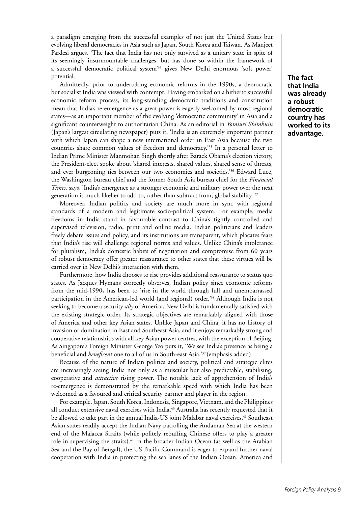a paradigm emerging from the successful examples of not just the United States but evolving liberal democracies in Asia such as Japan, South Korea and Taiwan. As Manjeet Pardesi argues, 'The fact that India has not only survived as a unitary state in spite of its seemingly insurmountable challenges, but has done so within the framework of a successful democratic political system'34 gives New Delhi enormous 'soft power' potential.

Admittedly, prior to undertaking economic reforms in the 1990s, a democratic but socialist India was viewed with contempt. Having embarked on a hitherto successful economic reform process, its long-standing democratic traditions and constitution mean that India's re-emergence as a great power is eagerly welcomed by most regional states—as an important member of the evolving 'democratic community' in Asia and a significant counterweight to authoritarian China. As an editorial in *Yomiuri Shimbuin* (Japan's largest circulating newspaper) puts it, 'India is an extremely important partner with which Japan can shape a new international order in East Asia because the two countries share common values of freedom and democracy.'35 In a personal letter to Indian Prime Minister Manmohan Singh shortly after Barack Obama's election victory, the President-elect spoke about 'shared interests, shared values, shared sense of threats, and ever burgeoning ties between our two economies and societies.'36 Edward Luce, the Washington bureau chief and the former South Asia bureau chief for the *Financial Times*, says, 'India's emergence as a stronger economic and military power over the next generation is much likelier to add to, rather than subtract from, global stability.'<sup>37</sup>

Moreover, Indian politics and society are much more in sync with regional standards of a modern and legitimate socio-political system. For example, media freedoms in India stand in favourable contrast to China's tightly controlled and supervised television, radio, print and online media. Indian politicians and leaders freely debate issues and policy, and its institutions are transparent, which placates fears that India's rise will challenge regional norms and values. Unlike China's intolerance for pluralism, India's domestic habits of negotiation and compromise from 60 years of robust democracy offer greater reassurance to other states that these virtues will be carried over in New Delhi's interaction with them.

Furthermore, how India chooses to rise provides additional reassurance to status quo states. As Jacques Hymans correctly observes, Indian policy since economic reforms from the mid-1990s has been to 'rise in the world through full and unembarrassed participation in the American-led world (and regional) order.'38 Although India is not seeking to become a security *ally* of America, New Delhi is fundamentally satisfied with the existing strategic order. Its strategic objectives are remarkably aligned with those of America and other key Asian states. Unlike Japan and China, it has no history of invasion or domination in East and Southeast Asia, and it enjoys remarkably strong and cooperative relationships with all key Asian power centres, with the exception of Beijing. As Singapore's Foreign Minister George Yeo puts it, 'We see India's presence as being a beneficial and *beneficent* one to all of us in South-east Asia.'39 (emphasis added)

Because of the nature of Indian politics and society, political and strategic elites are increasingly seeing India not only as a muscular but also predictable, stabilising, cooperative and *attractive* rising power. The notable lack of apprehension of India's re-emergence is demonstrated by the remarkable speed with which India has been welcomed as a favoured and critical security partner and player in the region.

For example, Japan, South Korea, Indonesia, Singapore, Vietnam, and the Philippines all conduct extensive naval exercises with India.40 Australia has recently requested that it be allowed to take part in the annual India-US joint Malabar naval exercises.<sup>41</sup> Southeast Asian states readily accept the Indian Navy patrolling the Andaman Sea at the western end of the Malacca Straits (while politely rebuffing Chinese offers to play a greater role in supervising the straits).<sup>42</sup> In the broader Indian Ocean (as well as the Arabian Sea and the Bay of Bengal), the US Pacific Command is eager to expand further naval cooperation with India in protecting the sea lanes of the Indian Ocean. America and

**The fact that India was already a robust democratic country has worked to its advantage.**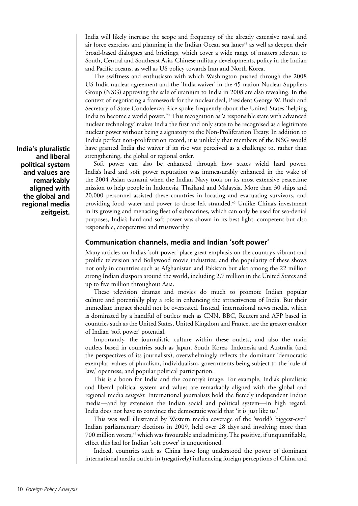India will likely increase the scope and frequency of the already extensive naval and air force exercises and planning in the Indian Ocean sea lanes<sup>43</sup> as well as deepen their broad-based dialogues and briefings, which cover a wide range of matters relevant to South, Central and Southeast Asia, Chinese military developments, policy in the Indian and Pacific oceans, as well as US policy towards Iran and North Korea.

The swiftness and enthusiasm with which Washington pushed through the 2008 US-India nuclear agreement and the 'India waiver' in the 45-nation Nuclear Suppliers Group (NSG) approving the sale of uranium to India in 2008 are also revealing. In the context of negotiating a framework for the nuclear deal, President George W. Bush and Secretary of State Condoleezza Rice spoke frequently about the United States 'helping India to become a world power.'44 This recognition as 'a responsible state with advanced nuclear technology' makes India the first and only state to be recognised as a legitimate nuclear power without being a signatory to the Non-Proliferation Treaty. In addition to India's perfect non-proliferation record, it is unlikely that members of the NSG would have granted India the waiver if its rise was perceived as a challenge to, rather than strengthening, the global or regional order.

Soft power can also be enhanced through how states wield hard power. India's hard and soft power reputation was immeasurably enhanced in the wake of the 2004 Asian tsunami when the Indian Navy took on its most extensive peacetime mission to help people in Indonesia, Thailand and Malaysia. More than 30 ships and 20,000 personnel assisted these countries in locating and evacuating survivors, and providing food, water and power to those left stranded.<sup>45</sup> Unlike China's investment in its growing and menacing fleet of submarines, which can only be used for sea-denial purposes, India's hard and soft power was shown in its best light: competent but also responsible, cooperative and trustworthy.

# **Communication channels, media and Indian 'soft power'**

Many articles on India's 'soft power' place great emphasis on the country's vibrant and prolific television and Bollywood movie industries, and the popularity of these shows not only in countries such as Afghanistan and Pakistan but also among the 22 million strong Indian diaspora around the world, including 2.7 million in the United States and up to five million throughout Asia.

These television dramas and movies do much to promote Indian popular culture and potentially play a role in enhancing the attractiveness of India. But their immediate impact should not be overstated. Instead, international news media, which is dominated by a handful of outlets such as CNN, BBC, Reuters and AFP based in countries such as the United States, United Kingdom and France, are the greater enabler of Indian 'soft power' potential.

Importantly, the journalistic culture within these outlets, and also the main outlets based in countries such as Japan, South Korea, Indonesia and Australia (and the perspectives of its journalists), overwhelmingly reflects the dominant 'democratic exemplar' values of pluralism, individualism, governments being subject to the 'rule of law,' openness, and popular political participation.

This is a boon for India and the country's image. For example, India's pluralistic and liberal political system and values are remarkably aligned with the global and regional media *zeitgeist.* International journalists hold the fiercely independent Indian media—and by extension the Indian social and political system—in high regard. India does not have to convince the democratic world that 'it is just like us.'

This was well illustrated by Western media coverage of the 'world's biggest-ever' Indian parliamentary elections in 2009, held over 28 days and involving more than 700 million voters,<sup>46</sup> which was favourable and admiring. The positive, if unquantifiable, effect this had for Indian 'soft power' is unquestioned.

Indeed, countries such as China have long understood the power of dominant international media outlets in (negatively) influencing foreign perceptions of China and

**India's pluralistic and liberal political system and values are remarkably aligned with the global and regional media zeitgeist.**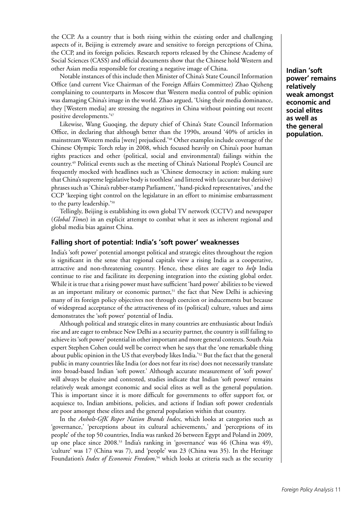the CCP. As a country that is both rising within the existing order and challenging aspects of it, Beijing is extremely aware and sensitive to foreign perceptions of China, the CCP, and its foreign policies. Research reports released by the Chinese Academy of Social Sciences (CASS) and official documents show that the Chinese hold Western and other Asian media responsible for creating a negative image of China.

Notable instances of this include then Minister of China's State Council Information Office (and current Vice Chairman of the Foreign Affairs Committee) Zhao Qizheng complaining to counterparts in Moscow that Western media control of public opinion was damaging China's image in the world. Zhao argued, 'Using their media dominance, they [Western media] are stressing the negatives in China without pointing out recent positive developments.'47

Likewise, Wang Guoqing, the deputy chief of China's State Council Information Office, in declaring that although better than the 1990s, around '40% of articles in mainstream Western media [were] prejudiced.'48 Other examples include coverage of the Chinese Olympic Torch relay in 2008, which focused heavily on China's poor human rights practices and other (political, social and environmental) failings within the country.49 Political events such as the meeting of China's National People's Council are frequently mocked with headlines such as 'Chinese democracy in action: making sure that China's supreme legislative body is toothless' and littered with (accurate but derisive) phrases such as 'China's rubber-stamp Parliament,' 'hand-picked representatives,' and the CCP 'keeping tight control on the legislature in an effort to minimise embarrassment to the party leadership.'50

Tellingly, Beijing is establishing its own global TV network (CCTV) and newspaper (*Global Times*) in an explicit attempt to combat what it sees as inherent regional and global media bias against China.

#### **Falling short of potential: India's 'soft power' weaknesses**

India's 'soft power' potential amongst political and strategic elites throughout the region is significant in the sense that regional capitals view a rising India as a cooperative, attractive and non-threatening country. Hence, these elites are eager to *help* India continue to rise and facilitate its deepening integration into the existing global order. While it is true that a rising power must have sufficient 'hard power' abilities to be viewed as an important military or economic partner, $51$  the fact that New Delhi is achieving many of its foreign policy objectives not through coercion or inducements but because of widespread acceptance of the attractiveness of its (political) culture, values and aims demonstrates the 'soft power' potential of India.

Although political and strategic elites in many countries are enthusiastic about India's rise and are eager to embrace New Delhi as a security partner, the country is still failing to achieve its 'soft power' potential in other important and more general contexts. South Asia expert Stephen Cohen could well be correct when he says that the 'one remarkable thing about public opinion in the US that everybody likes India.'52 But the fact that the general public in many countries like India (or does not fear its rise) does not necessarily translate into broad-based Indian 'soft power.' Although accurate measurement of 'soft power' will always be elusive and contested, studies indicate that Indian 'soft power' remains relatively weak amongst economic and social elites as well as the general population. This is important since it is more difficult for governments to offer support for, or acquiesce to, Indian ambitions, policies, and actions if Indian soft power credentials are poor amongst these elites and the general population within that country.

In the *Anholt-GfK Roper Nation Brands Index*, which looks at categories such as 'governance,' 'perceptions about its cultural achievements,' and 'perceptions of its people' of the top 50 countries, India was ranked 26 between Egypt and Poland in 2009, up one place since 2008.53 India's ranking in 'governance' was 46 (China was 49), 'culture' was 17 (China was 7), and 'people' was 23 (China was 35). In the Heritage Foundation's *Index of Economic Freedom*, 54 which looks at criteria such as the security **Indian 'soft power' remains relatively weak amongst economic and social elites as well as the general population.**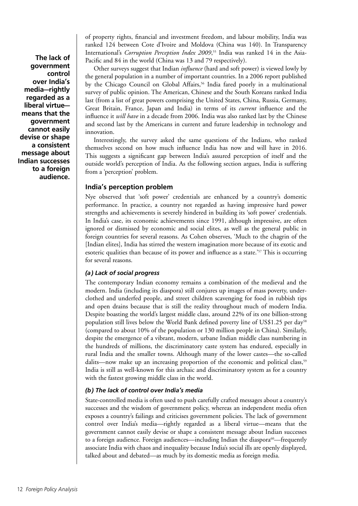**The lack of government control over India's media—rightly regarded as a liberal virtue means that the government cannot easily devise or shape a consistent message about Indian successes to a foreign audience.** 

of property rights, financial and investment freedom, and labour mobility, India was ranked 124 between Cote d'Ivoire and Moldova (China was 140). In Transparency International's *Corruption Perception Index 2009*, 55 India was ranked 14 in the Asia-Pacific and 84 in the world (China was 13 and 79 respectively).

Other surveys suggest that Indian *influence* (hard and soft power) is viewed lowly by the general population in a number of important countries. In a 2006 report published by the Chicago Council on Global Affairs,<sup>56</sup> India fared poorly in a multinational survey of public opinion. The American, Chinese and the South Koreans ranked India last (from a list of great powers comprising the United States, China, Russia, Germany, Great Britain, France, Japan and India) in terms of its *current* influence and the influence it *will have* in a decade from 2006. India was also ranked last by the Chinese and second last by the Americans in current and future leadership in technology and innovation.

Interestingly, the survey asked the same questions of the Indians, who ranked themselves second on how much influence India has now and will have in 2016. This suggests a significant gap between India's assured perception of itself and the outside world's perception of India. As the following section argues, India is suffering from a 'perception' problem.

# **India's perception problem**

Nye observed that 'soft power' credentials are enhanced by a country's domestic performance. In practice, a country not regarded as having impressive hard power strengths and achievements is severely hindered in building its 'soft power' credentials. In India's case, its economic achievements since 1991, although impressive, are often ignored or dismissed by economic and social elites, as well as the general public in foreign countries for several reasons. As Cohen observes, 'Much to the chagrin of the [Indian elites], India has stirred the western imagination more because of its exotic and esoteric qualities than because of its power and influence as a state.'<sup>57</sup> This is occurring for several reasons.

# *(a) Lack of social progress*

The contemporary Indian economy remains a combination of the medieval and the modern. India (including its diaspora) still conjures up images of mass poverty, underclothed and underfed people, and street children scavenging for food in rubbish tips and open drains because that is still the reality throughout much of modern India. Despite boasting the world's largest middle class, around 22% of its one billion-strong population still lives below the World Bank defined poverty line of US\$1.25 per day<sup>58</sup> (compared to about 10% of the population or 130 million people in China). Similarly, despite the emergence of a vibrant, modern, urbane Indian middle class numbering in the hundreds of millions, the discriminatory caste system has endured, especially in rural India and the smaller towns. Although many of the lower castes—the so-called dalits—now make up an increasing proportion of the economic and political class,<sup>59</sup> India is still as well-known for this archaic and discriminatory system as for a country with the fastest growing middle class in the world.

# *(b) The lack of control over India's media*

State-controlled media is often used to push carefully crafted messages about a country's successes and the wisdom of government policy, whereas an independent media often exposes a country's failings and criticises government policies. The lack of government control over India's media—rightly regarded as a liberal virtue—means that the government cannot easily devise or shape a consistent message about Indian successes to a foreign audience. Foreign audiences—including Indian the diaspora<sup>60</sup>—frequently associate India with chaos and inequality because India's social ills are openly displayed, talked about and debated—as much by its domestic media as foreign media.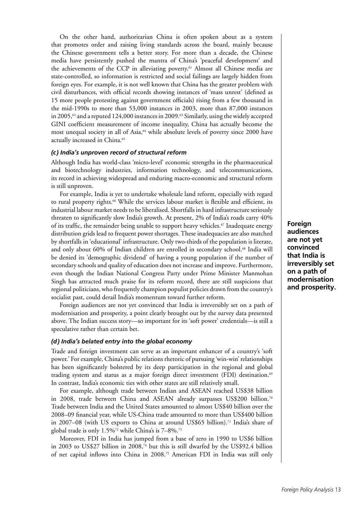On the other hand, authoritarian China is often spoken about as a system that promotes order and raising living standards across the board, mainly because the Chinese government tells a better story. For more than a decade, the Chinese media have persistently pushed the mantra of China's 'peaceful development' and the achievements of the CCP in alleviating poverty.<sup>61</sup> Almost all Chinese media are state-controlled, so information is restricted and social failings are largely hidden from foreign eyes. For example, it is not well known that China has the greater problem with civil disturbances, with official records showing instances of 'mass unrest' (defined as 15 more people protesting against government officials) rising from a few thousand in the mid-1990s to more than 53,000 instances in 2003, more than 87,000 instances in 2005,<sup> $\alpha$ </sup> and a reputed 124,000 instances in 2009.<sup>63</sup> Similarly, using the widely accepted GINI coefficient measurement of income inequality, China has actually become the most unequal society in all of Asia,<sup>64</sup> while absolute levels of poverty since 2000 have actually increased in China.<sup>65</sup>

#### *(c) India's unproven record of structural reform*

Although India has world-class 'micro-level' economic strengths in the pharmaceutical and biotechnology industries, information technology, and telecommunications, its record in achieving widespread and enduring macro-economic and structural reform is still unproven.

For example, India is yet to undertake wholesale land reform, especially with regard to rural property rights.<sup>66</sup> While the services labour market is flexible and efficient, its industrial labour market needs to be liberalised. Shortfalls in hard infrastructure seriously threaten to significantly slow India's growth. At present, 2% of India's roads carry 40% of its traffic, the remainder being unable to support heavy vehicles.<sup>67</sup> Inadequate energy distribution grids lead to frequent power shortages. These inadequacies are also matched by shortfalls in 'educational' infrastructure. Only two-thirds of the population is literate, and only about 60% of Indian children are enrolled in secondary school.68 India will be denied its 'demographic dividend' of having a young population if the number of secondary schools and quality of education does not increase and improve. Furthermore, even though the Indian National Congress Party under Prime Minister Manmohan Singh has attracted much praise for its reform record, there are still suspicions that regional politicians, who frequently champion populist policies drawn from the country's socialist past, could derail India's momentum toward further reform.

Foreign audiences are not yet convinced that India is irreversibly set on a path of modernisation and prosperity, a point clearly brought out by the survey data presented above. The Indian success story—so important for its 'soft power' credentials—is still a speculative rather than certain bet.

#### *(d) India's belated entry into the global economy*

Trade and foreign investment can serve as an important enhancer of a country's 'soft power.' For example, China's public relations rhetoric of pursuing 'win-win' relationships has been significantly bolstered by its deep participation in the regional and global trading system and status as a major foreign direct investment (FDI) destination.<sup>69</sup> In contrast, India's economic ties with other states are still relatively small.

For example, although trade between Indian and ASEAN reached US\$38 billion in 2008, trade between China and ASEAN already surpasses US\$200 billion.<sup>70</sup> Trade between India and the United States amounted to almost US\$40 billion over the 2008–09 financial year, while US-China trade amounted to more than US\$400 billion in 2007–08 (with US exports to China at around US\$65 billion).<sup>71</sup> India's share of global trade is only 1.5%72 while China's is 7–8%.73

Moreover, FDI in India has jumped from a base of zero in 1990 to US\$6 billion in 2003 to US\$27 billion in 2008,74 but this is still dwarfed by the US\$92.4 billion of net capital inflows into China in 2008.75 American FDI in India was still only

**Foreign audiences are not yet convinced that India is irreversibly set on a path of modernisation and prosperity.**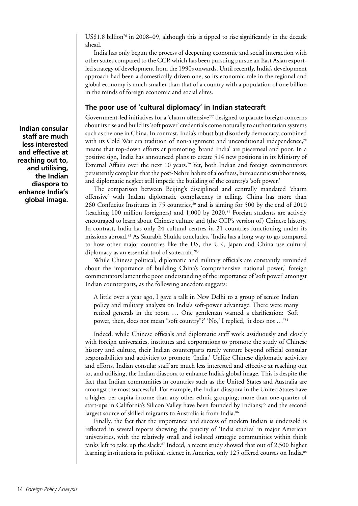US\$1.8 billion<sup>76</sup> in 2008–09, although this is tipped to rise significantly in the decade ahead.

India has only begun the process of deepening economic and social interaction with other states compared to the CCP, which has been pursuing pursue an East Asian exportled strategy of development from the 1990s onwards. Until recently, India's development approach had been a domestically driven one, so its economic role in the regional and global economy is much smaller than that of a country with a population of one billion in the minds of foreign economic and social elites.

# **The poor use of 'cultural diplomacy' in Indian statecraft**

Government-led initiatives for a 'charm offensive'77 designed to placate foreign concerns about its rise and build its 'soft power' credentials come naturally to authoritarian systems such as the one in China. In contrast, India's robust but disorderly democracy, combined with its Cold War era tradition of non-alignment and unconditional independence,<sup>78</sup> means that top-down efforts at promoting 'brand India' are piecemeal and poor. In a positive sign, India has announced plans to create 514 new positions in its Ministry of External Affairs over the next 10 years.79 Yet, both Indian and foreign commentators persistently complain that the post-Nehru habits of aloofness, bureaucratic stubbornness, and diplomatic neglect still impede the building of the country's 'soft power.'

The comparison between Beijing's disciplined and centrally mandated 'charm offensive' with Indian diplomatic complacency is telling. China has more than 260 Confucius Institutes in 75 countries,<sup>80</sup> and is aiming for 500 by the end of 2010 (teaching 100 million foreigners) and 1,000 by 2020.81 Foreign students are actively encouraged to learn about Chinese culture and (the CCP's version of) Chinese history. In contrast, India has only 24 cultural centres in 21 countries functioning under its missions abroad.82 As Saurabh Shukla concludes, 'India has a long way to go compared to how other major countries like the US, the UK, Japan and China use cultural diplomacy as an essential tool of statecraft.'83

While Chinese political, diplomatic and military officials are constantly reminded about the importance of building China's 'comprehensive national power,' foreign commentators lament the poor understanding of the importance of 'soft power' amongst Indian counterparts, as the following anecdote suggests:

A little over a year ago, I gave a talk in New Delhi to a group of senior Indian policy and military analysts on India's soft-power advantage. There were many retired generals in the room … One gentleman wanted a clarification: 'Soft power, then, does not mean "soft country"?' 'No,' I replied, 'it does not …'84

Indeed, while Chinese officials and diplomatic staff work assiduously and closely with foreign universities, institutes and corporations to promote the study of Chinese history and culture, their Indian counterparts rarely venture beyond official consular responsibilities and activities to promote 'India.' Unlike Chinese diplomatic activities and efforts, Indian consular staff are much less interested and effective at reaching out to, and utilising, the Indian diaspora to enhance India's global image. This is despite the fact that Indian communities in countries such as the United States and Australia are amongst the most successful. For example, the Indian diaspora in the United States have a higher per capita income than any other ethnic grouping; more than one-quarter of start-ups in California's Silicon Valley have been founded by Indians;<sup>85</sup> and the second largest source of skilled migrants to Australia is from India.<sup>86</sup>

Finally, the fact that the importance and success of modern Indian is undersold is reflected in several reports showing the paucity of 'India studies' in major American universities, with the relatively small and isolated strategic communities within think tanks left to take up the slack.<sup>87</sup> Indeed, a recent study showed that out of 2,500 higher learning institutions in political science in America, only 125 offered courses on India.<sup>88</sup>

**Indian consular staff are much less interested and effective at reaching out to, and utilising, the Indian diaspora to enhance India's global image.**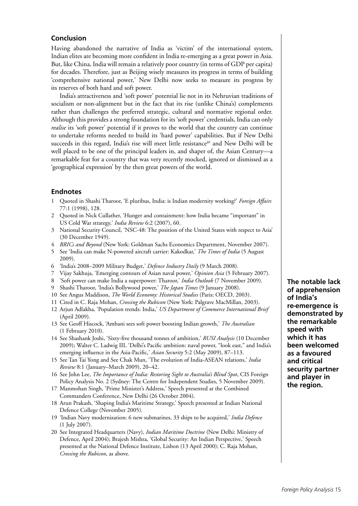# **Conclusion**

Having abandoned the narrative of India as 'victim' of the international system, Indian elites are becoming more confident in India re-emerging as a great power in Asia. But, like China, India will remain a relatively poor country (in terms of GDP per capita) for decades. Therefore, just as Beijing wisely measures its progress in terms of building 'comprehensive national power,' New Delhi now seeks to measure its progress by its reserves of both hard and soft power.

India's attractiveness and 'soft power' potential lie not in its Nehruvian traditions of socialism or non-alignment but in the fact that its rise (unlike China's) complements rather than challenges the preferred strategic, cultural and normative regional order. Although this provides a strong foundation for its 'soft power' credentials, India can only *realise* its 'soft power' potential if it proves to the world that the country can continue to undertake reforms needed to build its 'hard power' capabilities. But if New Delhi succeeds in this regard, India's rise will meet little resistance<sup>89</sup> and New Delhi will be well placed to be one of the principal leaders in, and shaper of, the Asian Century—a remarkable feat for a country that was very recently mocked, ignored or dismissed as a 'geographical expression' by the then great powers of the world.

# **Endnotes**

- 1 Quoted in Shashi Tharoor, 'E pluribus, India: is Indian modernity working?' *Foreign Affairs* 77:1 (1998), 128.
- 2 Quoted in Nick Cullather, 'Hunger and containment: how India became "important" in US Cold War strategy,' *India Review* 6:2 (2007), 60.
- 3 National Security Council, 'NSC-48: The position of the United States with respect to Asia' (30 December 1949).
- 4 *BRICs and Beyond* (New York: Goldman Sachs Economics Department, November 2007).
- 5 See 'India can make N-powered aircraft carrier: Kakodkar,' *The Times of India* (5 August 2009).
- 6 'India's 2008–2009 Military Budget,' *Defence Industry Daily* (9 March 2008).
- 7 Vijay Sakhuja, 'Emerging contours of Asian naval power,' *Opinion Asia* (5 February 2007).
- 8 'Soft power can make India a superpower: Tharoor,' *India Outlook* (7 November 2009).
- 9 Shashi Tharoor, 'India's Bollywood power,' *The Japan Times* (9 January 2008).
- 10 See Angus Maddison, *The World Economy: Historical Studies* (Paris: OECD, 2003).
- 11 Cited in C. Raja Mohan, *Crossing the Rubicon* (New York: Palgrave MacMillan, 2003).
- 12 Arjun Adlakha, 'Population trends: India,' *US Department of Commerce International Brief*  (April 2009).
- 13 See Geoff Hiscock, 'Ambani sees soft power boosting Indian growth,' *The Australian* (1 February 2010).
- 14 See Shashank Joshi, 'Sixty-five thousand tonnes of ambition,' *RUSI Analysis* (10 December 2009); Walter C. Ladwig III, 'Delhi's Pacific ambition: naval power, "look east," and India's emerging influence in the Asia-Pacific,' *Asian Security* 5:2 (May 2009), 87–113.
- 15 See Tan Tai Yong and See Chak Mun, 'The evolution of India-ASEAN relations,' *India Review* 8:1 (January–March 2009), 20–42.
- 16 See John Lee, *The Importance of India: Restoring Sight to Australia's Blind Spot*, CIS Foreign Policy Analysis No. 2 (Sydney: The Centre for Independent Studies, 5 November 2009).
- 17 Manmohan Singh, 'Prime Minister's Address,' Speech presented at the Combined Commanders Conference, New Delhi (26 October 2004).
- 18 Arun Prakash, 'Shaping India's Maritime Strategy,' Speech presented at Indian National Defence College (November 2005).
- 19 'Indian Navy modernization: 6 new submarines, 33 ships to be acquired,' *India Defence* (1 July 2007).
- 20 See Integrated Headquarters (Navy), *Indian Maritime Doctrine* (New Delhi: Ministry of Defence, April 2004); Brajesh Mishra, 'Global Security: An Indian Perspective,' Speech presented at the National Defence Institute, Lisbon (13 April 2000); C. Raja Mohan, *Crossing the Rubicon*, as above*.*

**The notable lack of apprehension of India's re-emergence is demonstrated by the remarkable speed with which it has been welcomed as a favoured and critical security partner and player in the region.**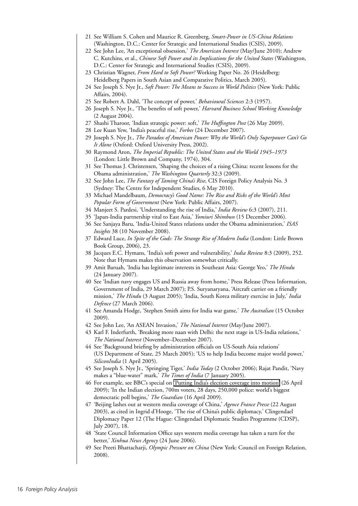- 21 See William S. Cohen and Maurice R. Greenberg, *Smart-Power in US-China Relations* (Washington, D.C.: Center for Strategic and International Studies (CSIS), 2009).
- 22 See John Lee, 'An exceptional obsession,' *The American Interest* (May/June 2010); Andrew C. Kutchins, et al., *Chinese Soft Power and its Implications for the United States* (Washington, D.C.: Center for Strategic and International Studies (CSIS), 2009).
- 23 Christian Wagner, *From Hard to Soft Power?* Working Paper No. 26 (Heidelberg: Heidelberg Papers in South Asian and Comparative Politics, March 2005).
- 24 See Joseph S. Nye Jr., *Soft Power: The Means to Success in World Politics* (New York: Public Affairs, 2004).
- 25 See Robert A. Dahl, 'The concept of power,' *Behavioural Sciences* 2:3 (1957).
- 26 Joseph S. Nye Jr., 'The benefits of soft power,' *Harvard Business School Working Knowledge* (2 August 2004).
- 27 Shashi Tharoor, 'Indian strategic power: soft,' *The Huffington Post* (26 May 2009).
- 28 Lee Kuan Yew, 'India's peaceful rise,' *Forbes* (24 December 2007).
- 29 Joseph S. Nye Jr., *The Paradox of American Power: Why the World's Only Superpower Can't Go It Alone* (Oxford: Oxford University Press, 2002).
- 30 Raymond Aron, *The Imperial Republic: The United States and the World 1945–1973* (London: Little Brown and Company, 1974), 304.
- 31 See Thomas J. Christensen, 'Shaping the choices of a rising China: recent lessons for the Obama administration,' *The Washington Quarterly* 32:3 (2009).
- 32 See John Lee, *The Fantasy of Taming China's Rise*, CIS Foreign Policy Analysis No. 3 (Sydney: The Centre for Independent Studies, 6 May 2010).
- 33 Michael Mandelbaum, *Democracy's Good Name: The Rise and Risks of the World's Most Popular Form of Government* (New York: Public Affairs, 2007).
- 34 Manjeet S. Pardesi, 'Understanding the rise of India,' *India Review* 6:3 (2007), 211.
- 35 'Japan-India partnership vital to East Asia,' *Yomiuri Shimbun* (15 December 2006).
- 36 See Sanjaya Baru, 'India-United States relations under the Obama administration,' *ISAS Insights* 38 (10 November 2008).
- 37 Edward Luce, *In Spite of the Gods: The Strange Rise of Modern India* (London: Little Brown Book Group, 2006), 23.
- 38 Jacques E.C. Hymans, 'India's soft power and vulnerability,' *India Review* 8:3 (2009), 252. Note that Hymans makes this observation somewhat critically.
- 39 Amit Baruah, 'India has legitimate interests in Southeast Asia: George Yeo,' *The Hindu* (24 January 2007).
- 40 See 'Indian navy engages US and Russia away from home,' Press Release (Press Information, Government of India, 29 March 2007); P.S. Suryanaryana, 'Aircraft carrier on a friendly mission,' *The Hindu* (3 August 2005); 'India, South Korea military exercise in July,' *India Defence* (27 March 2006).
- 41 See Amanda Hodge, 'Stephen Smith aims for India war game,' *The Australian* (15 October 2009).
- 42 See John Lee, 'An ASEAN Invasion,' *The National Interest* (May/June 2007).
- 43 Karl F. Inderfurth, 'Breaking more naan with Delhi: the next stage in US-India relations,' *The National Interest* (November–December 2007).
- 44 See 'Background briefing by administration officials on US-South Asia relations' (US Department of State, 25 March 2005); 'US to help India become major world power,' *SiliconIndia* (1 April 2005).
- 45 See Joseph S. Nye Jr., 'Springing Tiger,' *India Today* (2 October 2006); Rajat Pandit, 'Navy makes a "blue-water" mark,' *The Times of India* (7 January 2005).
- 46 For example, see BBC's special on ['Putting India's election coverage into motion'](http://www.bbc.co.uk/blogs/theeditors/2009/04/putting_indias_election_covera.html) (26 April 2009); 'In the Indian election, 700m voters, 28 days, 250,000 police: world's biggest democratic poll begins,' *The Guardian* (16 April 2009).
- 47 'Beijing lashes out at western media coverage of China,' *Agence France Presse* (22 August 2003), as cited in Ingrid d'Hooge, 'The rise of China's public diplomacy,' Clingendael Diplomacy Paper 12 (The Hague: Clingendael Diplomatic Studies Programme (CDSP), July 2007), 18.
- 48 'State Council Information Office says western media coverage has taken a turn for the better,' *Xinhua News Agency* (24 June 2006).
- 49 See Preeti Bhattacharji, *Olympic Pressure on China* (New York: Council on Foreign Relation, 2008).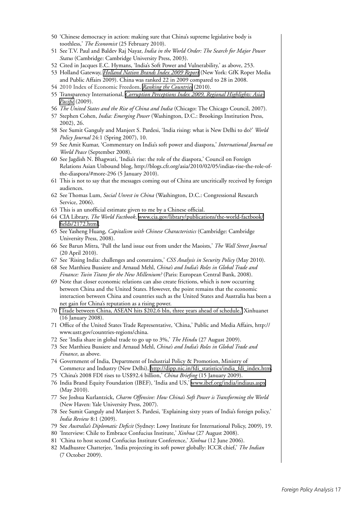- 50 'Chinese democracy in action: making sure that China's supreme legislative body is toothless,' *The Economist* (25 February 2010).
- 51 See T.V. Paul and Baldev Raj Nayar, *India in the World Order: The Search for Major Power Status* (Cambridge: Cambridge University Press, 2003).
- 52 Cited in Jacques E.C. Hymans, 'India's Soft Power and Vulnerability,' as above, 253.
- 53 Holland Gateway, *[Holland Nation Brands Index 2009 Report](http://www.hollandgateway.nl/downloads/0000/0006/Holland_2009_Nation_Brands_Index_Report.pdf)* (New York: GfK Roper Media and Public Affairs 2009). China was ranked 22 in 2009 compared to 28 in 2008.
- 54 2010 Index of Economic Freedom, *[Ranking the Countries](http://www.heritage.org/index/Ranking.aspx)* (2010).
- 55 Transparency International, *[Corruption Perceptions Index 2009, Regional Highlights: Asia-](http://www.transparency.org/content/download/51016/816540/file/2009 CPI.pdf)[Pacific](http://www.transparency.org/content/download/51016/816540/file/2009 CPI.pdf)* (2009).
- 56 *The United States and the Rise of China and India* (Chicago: The Chicago Council, 2007).
- 57 Stephen Cohen, *India: Emerging Power* (Washington, D.C.: Brookings Institution Press, 2002), 26.
- 58 See Sumit Ganguly and Manjeet S. Pardesi, 'India rising: what is New Delhi to do?' *World Policy Journal* 24:1 (Spring 2007), 10.
- 59 See Amit Kumar, 'Commentary on India's soft power and diaspora,' *International Journal on World Peace* (September 2008).
- 60 See Jagdish N. Bhagwati, 'India's rise: the role of the diaspora,' Council on Foreign Relations Asian Unbound blog, http://blogs.cfr.org/asia/2010/02/05/indias-rise-the-role-ofthe-diaspora/#more-296 (5 January 2010).
- 61 This is not to say that the messages coming out of China are uncritically received by foreign audiences.
- 62 See Thomas Lum, *Social Unrest in China* (Washington, D.C.: Congressional Research Service, 2006).
- 63 This is an unofficial estimate given to me by a Chinese official.
- 64 CIA Library, *The World Factbook*, [www.cia.gov/library/publications/the-world-factbook/](http://www.cia.gov/library/publications/the-world-factbook/fields/2172.html) [fields/2172.html.](http://www.cia.gov/library/publications/the-world-factbook/fields/2172.html)
- 65 See Yasheng Huang, *Capitalism with Chinese Characteristics* (Cambridge: Cambridge University Press, 2008).
- 66 See Barun Mitra, 'Pull the land issue out from under the Maoists,' *The Wall Street Journal* (20 April 2010).
- 67 See 'Rising India: challenges and constraints,' *CSS Analysis in Security Policy* (May 2010).
- 68 See Matthieu Bussiere and Arnaud Mehl, *China's and India's Roles in Global Trade and Finance: Twin Titans for the New Millenium?* (Paris: European Central Bank, 2008).
- 69 Note that closer economic relations can also create frictions, which is now occurring between China and the United States. However, the point remains that the economic interaction between China and countries such as the United States and Australia has been a net gain for China's reputation as a rising power.
- 70 ['Trade between China, ASEAN hits \\$202.6 bln, three years ahead of schedule,'](http://news.xinhuanet.com/english/2008-01/16/content_7433400.htm) Xinhuanet (16 January 2008).
- 71 Office of the United States Trade Representative, 'China,' Public and Media Affairs, http:// www.ustr.gov/countries-regions/china.
- 72 See 'India share in global trade to go up to 3%,' *The Hindu* (27 August 2009).
- 73 See Matthieu Bussiere and Arnaud Mehl, *China's and India's Roles in Global Trade and Finance*, as above.
- 74 Government of India, Department of Industrial Policy & Promotion, Ministry of Commerce and Industry (New Delhi), [http://dipp.nic.in/fdi\\_statistics/india\\_fdi\\_index.htm.](http://dipp.nic.in/fdi_statistics/india_fdi_index.htm)
- 75 'China's 2008 FDI rises to US\$92.4 billion,' *China Briefing* (15 January 2009).
- 76 India Brand Equity Foundation (IBEF), 'India and US,' [www.ibef.org/india/indiaus.aspx](http://www.ibef.org/india/indiaus.aspx) (May 2010).
- 77 See Joshua Kurlantzick, *Charm Offensive: How China's Soft Power is Transforming the World* (New Haven: Yale University Press, 2007).
- 78 See Sumit Ganguly and Manjeet S. Pardesi, 'Explaining sixty years of India's foreign policy,' *India Review* 8:1 (2009).
- 79 See *Australia's Diplomatic Deficit* (Sydney: Lowy Institute for International Policy, 2009), 19.
- 80 'Interview: Chile to Embrace Confucius Institute,' *Xinhua* (27 August 2008).
- 81 'China to host second Confucius Institute Conference,' *Xinhua* (12 June 2006).
- 82 Madhusree Chatterjee, 'India projecting its soft power globally: ICCR chief,' *The Indian* (7 October 2009).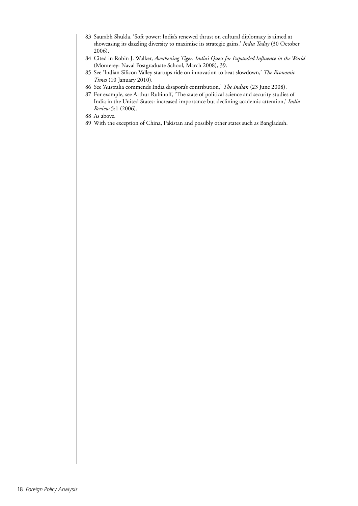- 83 Saurabh Shukla, 'Soft power: India's renewed thrust on cultural diplomacy is aimed at showcasing its dazzling diversity to maximise its strategic gains,' *India Today* (30 October 2006).
- 84 Cited in Robin J. Walker, *Awakening Tiger: India's Quest for Expanded Influence in the World*  (Monterey: Naval Postgraduate School, March 2008), 39.
- 85 See 'Indian Silicon Valley startups ride on innovation to beat slowdown,' *The Economic Times* (10 January 2010).
- 86 See 'Australia commends India disapora's contribution,' *The Indian* (23 June 2008).
- 87 For example, see Arthur Rubinoff, 'The state of political science and security studies of India in the United States: increased importance but declining academic attention,' *India Review* 5:1 (2006).
- 88 As above.
- 89 With the exception of China, Pakistan and possibly other states such as Bangladesh.